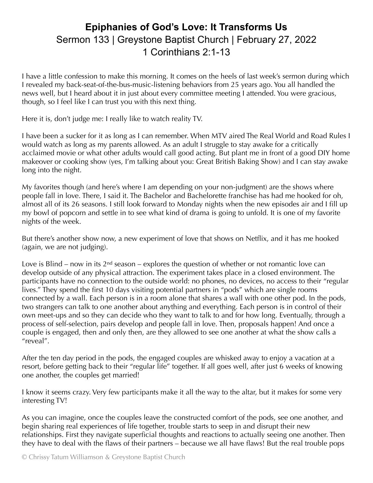## **Epiphanies of God's Love: It Transforms Us** Sermon 133 | Greystone Baptist Church | February 27, 2022 1 Corinthians 2:1-13

I have a little confession to make this morning. It comes on the heels of last week's sermon during which I revealed my back-seat-of-the-bus-music-listening behaviors from 25 years ago. You all handled the news well, but I heard about it in just about every committee meeting I attended. You were gracious, though, so I feel like I can trust you with this next thing.

Here it is, don't judge me: I really like to watch reality TV.

I have been a sucker for it as long as I can remember. When MTV aired The Real World and Road Rules I would watch as long as my parents allowed. As an adult I struggle to stay awake for a critically acclaimed movie or what other adults would call good acting. But plant me in front of a good DIY home makeover or cooking show (yes, I'm talking about you: Great British Baking Show) and I can stay awake long into the night.

My favorites though (and here's where I am depending on your non-judgment) are the shows where people fall in love. There, I said it. The Bachelor and Bachelorette franchise has had me hooked for oh, almost all of its 26 seasons. I still look forward to Monday nights when the new episodes air and I fill up my bowl of popcorn and settle in to see what kind of drama is going to unfold. It is one of my favorite nights of the week.

But there's another show now, a new experiment of love that shows on Netflix, and it has me hooked (again, we are not judging).

Love is Blind – now in its  $2<sup>nd</sup>$  season – explores the question of whether or not romantic love can develop outside of any physical attraction. The experiment takes place in a closed environment. The participants have no connection to the outside world: no phones, no devices, no access to their "regular lives." They spend the first 10 days visiting potential partners in "pods" which are single rooms connected by a wall. Each person is in a room alone that shares a wall with one other pod. In the pods, two strangers can talk to one another about anything and everything. Each person is in control of their own meet-ups and so they can decide who they want to talk to and for how long. Eventually, through a process of self-selection, pairs develop and people fall in love. Then, proposals happen! And once a couple is engaged, then and only then, are they allowed to see one another at what the show calls a "reveal".

After the ten day period in the pods, the engaged couples are whisked away to enjoy a vacation at a resort, before getting back to their "regular life" together. If all goes well, after just 6 weeks of knowing one another, the couples get married!

I know it seems crazy. Very few participants make it all the way to the altar, but it makes for some very interesting TV!

As you can imagine, once the couples leave the constructed comfort of the pods, see one another, and begin sharing real experiences of life together, trouble starts to seep in and disrupt their new relationships. First they navigate superficial thoughts and reactions to actually seeing one another. Then they have to deal with the flaws of their partners – because we all have flaws! But the real trouble pops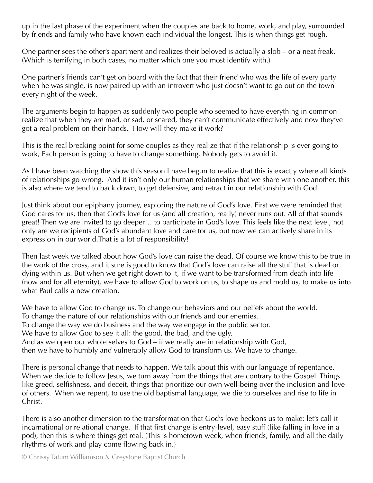up in the last phase of the experiment when the couples are back to home, work, and play, surrounded by friends and family who have known each individual the longest. This is when things get rough.

One partner sees the other's apartment and realizes their beloved is actually a slob – or a neat freak. (Which is terrifying in both cases, no matter which one you most identify with.)

One partner's friends can't get on board with the fact that their friend who was the life of every party when he was single, is now paired up with an introvert who just doesn't want to go out on the town every night of the week.

The arguments begin to happen as suddenly two people who seemed to have everything in common realize that when they are mad, or sad, or scared, they can't communicate effectively and now they've got a real problem on their hands. How will they make it work?

This is the real breaking point for some couples as they realize that if the relationship is ever going to work, Each person is going to have to change something. Nobody gets to avoid it.

As I have been watching the show this season I have begun to realize that this is exactly where all kinds of relationships go wrong. And it isn't only our human relationships that we share with one another, this is also where we tend to back down, to get defensive, and retract in our relationship with God.

Just think about our epiphany journey, exploring the nature of God's love. First we were reminded that God cares for us, then that God's love for us (and all creation, really) never runs out. All of that sounds great! Then we are invited to go deeper… to participate in God's love. This feels like the next level, not only are we recipients of God's abundant love and care for us, but now we can actively share in its expression in our world.That is a lot of responsibility!

Then last week we talked about how God's love can raise the dead. Of course we know this to be true in the work of the cross, and it sure is good to know that God's love can raise all the stuff that is dead or dying within us. But when we get right down to it, if we want to be transformed from death into life (now and for all eternity), we have to allow God to work on us, to shape us and mold us, to make us into what Paul calls a new creation.

We have to allow God to change us. To change our behaviors and our beliefs about the world. To change the nature of our relationships with our friends and our enemies. To change the way we do business and the way we engage in the public sector. We have to allow God to see it all: the good, the bad, and the ugly. And as we open our whole selves to God – if we really are in relationship with God, then we have to humbly and vulnerably allow God to transform us. We have to change.

There is personal change that needs to happen. We talk about this with our language of repentance. When we decide to follow Jesus, we turn away from the things that are contrary to the Gospel. Things like greed, selfishness, and deceit, things that prioritize our own well-being over the inclusion and love of others. When we repent, to use the old baptismal language, we die to ourselves and rise to life in Christ.

There is also another dimension to the transformation that God's love beckons us to make: let's call it incarnational or relational change. If that first change is entry-level, easy stuff (like falling in love in a pod), then this is where things get real. (This is hometown week, when friends, family, and all the daily rhythms of work and play come flowing back in.)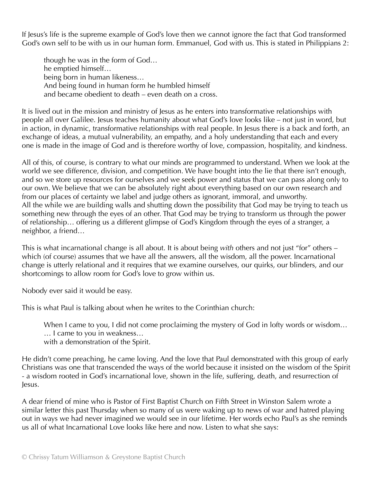If Jesus's life is the supreme example of God's love then we cannot ignore the fact that God transformed God's own self to be with us in our human form. Emmanuel, God with us. This is stated in Philippians 2:

though he was in the form of God… he emptied himself… being born in human likeness… And being found in human form he humbled himself and became obedient to death – even death on a cross.

It is lived out in the mission and ministry of Jesus as he enters into transformative relationships with people all over Galilee. Jesus teaches humanity about what God's love looks like – not just in word, but in action, in dynamic, transformative relationships with real people. In Jesus there is a back and forth, an exchange of ideas, a mutual vulnerability, an empathy, and a holy understanding that each and every one is made in the image of God and is therefore worthy of love, compassion, hospitality, and kindness.

All of this, of course, is contrary to what our minds are programmed to understand. When we look at the world we see difference, division, and competition. We have bought into the lie that there isn't enough, and so we store up resources for ourselves and we seek power and status that we can pass along only to our own. We believe that we can be absolutely right about everything based on our own research and from our places of certainty we label and judge others as ignorant, immoral, and unworthy. All the while we are building walls and shutting down the possibility that God may be trying to teach us something new through the eyes of an other. That God may be trying to transform us through the power of relationship… offering us a different glimpse of God's Kingdom through the eyes of a stranger, a neighbor, a friend…

This is what incarnational change is all about. It is about being *with* others and not just "for" others – which (of course) assumes that we have all the answers, all the wisdom, all the power. Incarnational change is utterly relational and it requires that we examine ourselves, our quirks, our blinders, and our shortcomings to allow room for God's love to grow within us.

Nobody ever said it would be easy.

This is what Paul is talking about when he writes to the Corinthian church:

When I came to you, I did not come proclaiming the mystery of God in lofty words or wisdom...

… I came to you in weakness…

with a demonstration of the Spirit.

He didn't come preaching, he came loving. And the love that Paul demonstrated with this group of early Christians was one that transcended the ways of the world because it insisted on the wisdom of the Spirit - a wisdom rooted in God's incarnational love, shown in the life, suffering, death, and resurrection of Jesus.

A dear friend of mine who is Pastor of First Baptist Church on Fifth Street in Winston Salem wrote a similar letter this past Thursday when so many of us were waking up to news of war and hatred playing out in ways we had never imagined we would see in our lifetime. Her words echo Paul's as she reminds us all of what Incarnational Love looks like here and now. Listen to what she says: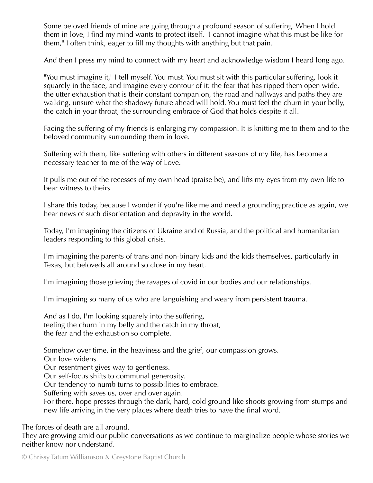Some beloved friends of mine are going through a profound season of suffering. When I hold them in love, I find my mind wants to protect itself. "I cannot imagine what this must be like for them," I often think, eager to fill my thoughts with anything but that pain.

And then I press my mind to connect with my heart and acknowledge wisdom I heard long ago.

"You must imagine it," I tell myself. You must. You must sit with this particular suffering, look it squarely in the face, and imagine every contour of it: the fear that has ripped them open wide, the utter exhaustion that is their constant companion, the road and hallways and paths they are walking, unsure what the shadowy future ahead will hold. You must feel the churn in your belly, the catch in your throat, the surrounding embrace of God that holds despite it all.

Facing the suffering of my friends is enlarging my compassion. It is knitting me to them and to the beloved community surrounding them in love.

Suffering with them, like suffering with others in different seasons of my life, has become a necessary teacher to me of the way of Love.

It pulls me out of the recesses of my own head (praise be), and lifts my eyes from my own life to bear witness to theirs.

I share this today, because I wonder if you're like me and need a grounding practice as again, we hear news of such disorientation and depravity in the world.

Today, I'm imagining the citizens of Ukraine and of Russia, and the political and humanitarian leaders responding to this global crisis.

I'm imagining the parents of trans and non-binary kids and the kids themselves, particularly in Texas, but beloveds all around so close in my heart.

I'm imagining those grieving the ravages of covid in our bodies and our relationships.

I'm imagining so many of us who are languishing and weary from persistent trauma.

And as I do, I'm looking squarely into the suffering, feeling the churn in my belly and the catch in my throat, the fear and the exhaustion so complete.

Somehow over time, in the heaviness and the grief, our compassion grows.

Our love widens.

Our resentment gives way to gentleness.

Our self-focus shifts to communal generosity.

Our tendency to numb turns to possibilities to embrace.

Suffering with saves us, over and over again.

For there, hope presses through the dark, hard, cold ground like shoots growing from stumps and new life arriving in the very places where death tries to have the final word.

The forces of death are all around.

They are growing amid our public conversations as we continue to marginalize people whose stories we neither know nor understand.

© Chrissy Tatum Williamson & Greystone Baptist Church